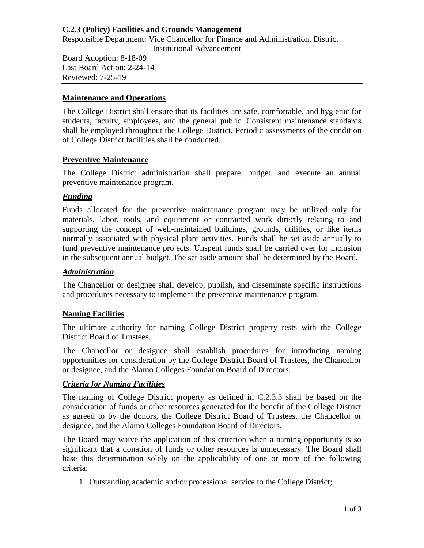# **C.2.3 (Policy) Facilities and Grounds Management**

Responsible Department: Vice Chancellor for Finance and Administration, District Institutional Advancement

Board Adoption: 8-18-09 Last Board Action: 2-24-14 Reviewed: 7-25-19

### **Maintenance and Operations**

The College District shall ensure that its facilities are safe, comfortable, and hygienic for students, faculty, employees, and the general public. Consistent maintenance standards shall be employed throughout the College District. Periodic assessments of the condition of College District facilities shall be conducted.

### **Preventive Maintenance**

The College District administration shall prepare, budget, and execute an annual preventive maintenance program.

# *Funding*

Funds allocated for the preventive maintenance program may be utilized only for materials, labor, tools, and equipment or contracted work directly relating to and supporting the concept of well-maintained buildings, grounds, utilities, or like items normally associated with physical plant activities. Funds shall be set aside annually to fund preventive maintenance projects. Unspent funds shall be carried over for inclusion in the subsequent annual budget. The set aside amount shall be determined by the Board.

### *Administration*

The Chancellor or designee shall develop, publish, and disseminate specific instructions and procedures necessary to implement the preventive maintenance program.

# **Naming Facilities**

The ultimate authority for naming College District property rests with the College District Board of Trustees.

The Chancellor or designee shall establish procedures for introducing naming opportunities for consideration by the College District Board of Trustees, the Chancellor or designee, and the Alamo Colleges Foundation Board of Directors.

# *Criteria for Naming Facilities*

The naming of College District property as defined in C.2.3.3 shall be based on the consideration of funds or other resources generated for the benefit of the College District as agreed to by the donors, the College District Board of Trustees, the Chancellor or designee, and the Alamo Colleges Foundation Board of Directors.

The Board may waive the application of this criterion when a naming opportunity is so significant that a donation of funds or other resources is unnecessary. The Board shall base this determination solely on the applicability of one or more of the following criteria:

1. Outstanding academic and/or professional service to the College District;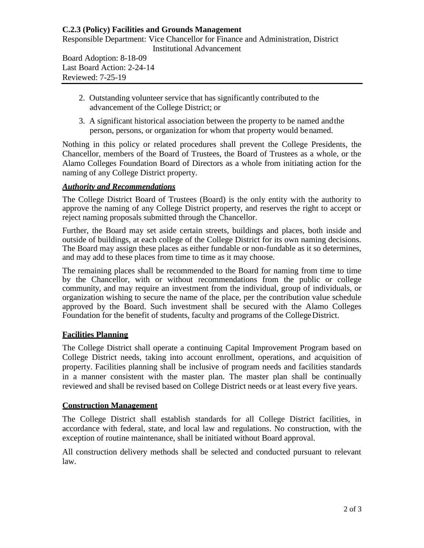# **C.2.3 (Policy) Facilities and Grounds Management**

Responsible Department: Vice Chancellor for Finance and Administration, District Institutional Advancement

Board Adoption: 8-18-09 Last Board Action: 2-24-14 Reviewed: 7-25-19

- 2. Outstanding volunteer service that has significantly contributed to the advancement of the College District; or
- 3. A significant historical association between the property to be named andthe person, persons, or organization for whom that property would benamed.

Nothing in this policy or related procedures shall prevent the College Presidents, the Chancellor, members of the Board of Trustees, the Board of Trustees as a whole, or the Alamo Colleges Foundation Board of Directors as a whole from initiating action for the naming of any College District property.

# *Authority and Recommendations*

The College District Board of Trustees (Board) is the only entity with the authority to approve the naming of any College District property, and reserves the right to accept or reject naming proposals submitted through the Chancellor.

Further, the Board may set aside certain streets, buildings and places, both inside and outside of buildings, at each college of the College District for its own naming decisions. The Board may assign these places as either fundable or non-fundable as it so determines, and may add to these places from time to time as it may choose.

The remaining places shall be recommended to the Board for naming from time to time by the Chancellor, with or without recommendations from the public or college community, and may require an investment from the individual, group of individuals, or organization wishing to secure the name of the place, per the contribution value schedule approved by the Board. Such investment shall be secured with the Alamo Colleges Foundation for the benefit of students, faculty and programs of the College District.

# **Facilities Planning**

The College District shall operate a continuing Capital Improvement Program based on College District needs, taking into account enrollment, operations, and acquisition of property. Facilities planning shall be inclusive of program needs and facilities standards in a manner consistent with the master plan. The master plan shall be continually reviewed and shall be revised based on College District needs or at least every five years.

# **Construction Management**

The College District shall establish standards for all College District facilities, in accordance with federal, state, and local law and regulations. No construction, with the exception of routine maintenance, shall be initiated without Board approval.

All construction delivery methods shall be selected and conducted pursuant to relevant law.